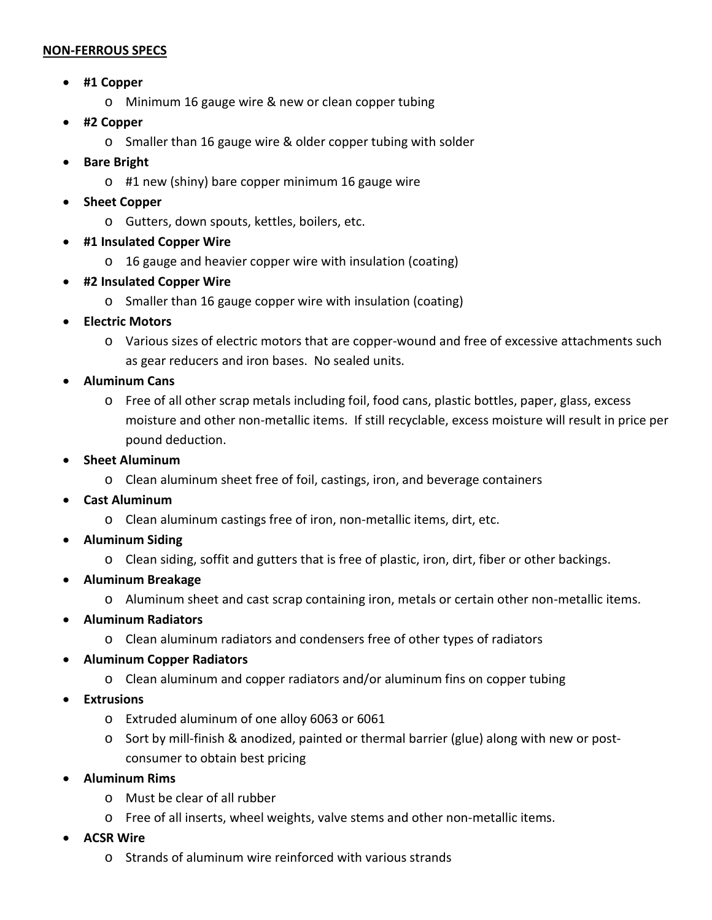## <sup>U</sup>**NON-FERROUS SPECS**

- **#1 Copper**
	- o Minimum 16 gauge wire & new or clean copper tubing
- **#2 Copper**
	- o Smaller than 16 gauge wire & older copper tubing with solder
- **Bare Bright**
	- o #1 new (shiny) bare copper minimum 16 gauge wire
- **Sheet Copper**
	- o Gutters, down spouts, kettles, boilers, etc.
- **#1 Insulated Copper Wire**
	- o 16 gauge and heavier copper wire with insulation (coating)
- **#2 Insulated Copper Wire**
	- o Smaller than 16 gauge copper wire with insulation (coating)
- **Electric Motors**
	- o Various sizes of electric motors that are copper-wound and free of excessive attachments such as gear reducers and iron bases. No sealed units.
- **Aluminum Cans**
	- o Free of all other scrap metals including foil, food cans, plastic bottles, paper, glass, excess moisture and other non-metallic items. If still recyclable, excess moisture will result in price per pound deduction.
- **Sheet Aluminum**
	- o Clean aluminum sheet free of foil, castings, iron, and beverage containers
- **Cast Aluminum**
	- o Clean aluminum castings free of iron, non-metallic items, dirt, etc.
- **Aluminum Siding**
	- o Clean siding, soffit and gutters that is free of plastic, iron, dirt, fiber or other backings.
- **Aluminum Breakage**
	- o Aluminum sheet and cast scrap containing iron, metals or certain other non-metallic items.
- **Aluminum Radiators**
	- o Clean aluminum radiators and condensers free of other types of radiators
- **Aluminum Copper Radiators**
	- o Clean aluminum and copper radiators and/or aluminum fins on copper tubing
- **Extrusions**
	- o Extruded aluminum of one alloy 6063 or 6061
	- o Sort by mill-finish & anodized, painted or thermal barrier (glue) along with new or postconsumer to obtain best pricing
- **Aluminum Rims**
	- o Must be clear of all rubber
	- o Free of all inserts, wheel weights, valve stems and other non-metallic items.
- **ACSR Wire**
	- o Strands of aluminum wire reinforced with various strands